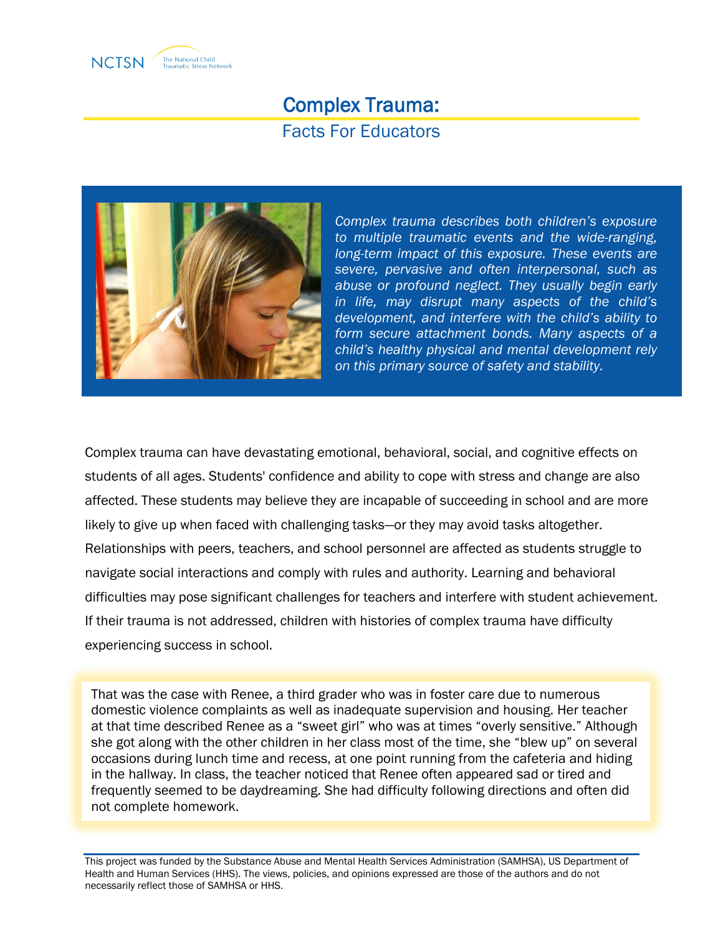

# Complex Trauma: Facts For Educators



*Complex trauma describes both children's exposure to multiple traumatic events and the wide-ranging, long-term impact of this exposure. These events are severe, pervasive and often interpersonal, such as abuse or profound neglect. They usually begin early in life, may disrupt many aspects of the child's development, and interfere with the child's ability to form secure attachment bonds. Many aspects of a child's healthy physical and mental development rely on this primary source of safety and stability.*

Complex trauma can have devastating emotional, behavioral, social, and cognitive effects on students of all ages. Students' confidence and ability to cope with stress and change are also affected. These students may believe they are incapable of succeeding in school and are more likely to give up when faced with challenging tasks—or they may avoid tasks altogether. Relationships with peers, teachers, and school personnel are affected as students struggle to navigate social interactions and comply with rules and authority. Learning and behavioral difficulties may pose significant challenges for teachers and interfere with student achievement. If their trauma is not addressed, children with histories of complex trauma have difficulty experiencing success in school.

That was the case with Renee, a third grader who was in foster care due to numerous domestic violence complaints as well as inadequate supervision and housing. Her teacher at that time described Renee as a "sweet girl" who was at times "overly sensitive." Although she got along with the other children in her class most of the time, she "blew up" on several occasions during lunch time and recess, at one point running from the cafeteria and hiding in the hallway. In class, the teacher noticed that Renee often appeared sad or tired and frequently seemed to be daydreaming. She had difficulty following directions and often did not complete homework.

This project was funded by the Substance Abuse and Mental Health Services Administration (SAMHSA), US Department of Health and Human Services (HHS). The views, policies, and opinions expressed are those of the authors and do not necessarily reflect those of SAMHSA or HHS.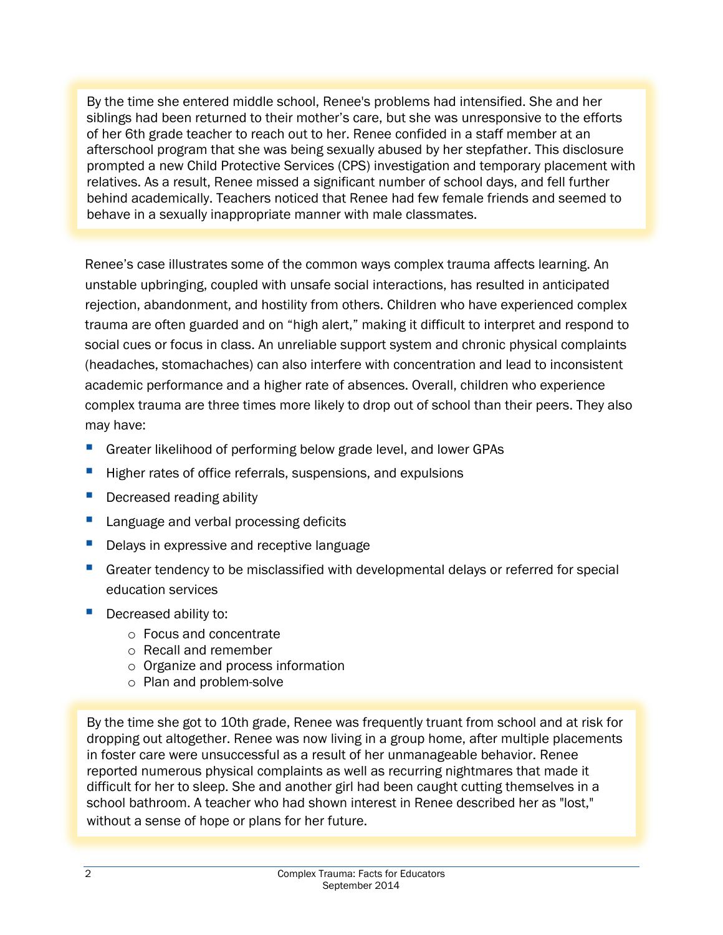By the time she entered middle school, Renee's problems had intensified. She and her siblings had been returned to their mother's care, but she was unresponsive to the efforts of her 6th grade teacher to reach out to her. Renee confided in a staff member at an afterschool program that she was being sexually abused by her stepfather. This disclosure prompted a new Child Protective Services (CPS) investigation and temporary placement with relatives. As a result, Renee missed a significant number of school days, and fell further behind academically. Teachers noticed that Renee had few female friends and seemed to behave in a sexually inappropriate manner with male classmates.

Renee's case illustrates some of the common ways complex trauma affects learning. An unstable upbringing, coupled with unsafe social interactions, has resulted in anticipated rejection, abandonment, and hostility from others. Children who have experienced complex trauma are often guarded and on "high alert," making it difficult to interpret and respond to social cues or focus in class. An unreliable support system and chronic physical complaints (headaches, stomachaches) can also interfere with concentration and lead to inconsistent academic performance and a higher rate of absences. Overall, children who experience complex trauma are three times more likely to drop out of school than their peers. They also may have:

- Greater likelihood of performing below grade level, and lower GPAs
- Higher rates of office referrals, suspensions, and expulsions
- **Decreased reading ability**
- **Language and verbal processing deficits**
- Delays in expressive and receptive language
- **Greater tendency to be misclassified with developmental delays or referred for special** education services
- **Decreased ability to:** 
	- o Focus and concentrate
	- o Recall and remember
	- o Organize and process information
	- o Plan and problem-solve

By the time she got to 10th grade, Renee was frequently truant from school and at risk for dropping out altogether. Renee was now living in a group home, after multiple placements in foster care were unsuccessful as a result of her unmanageable behavior. Renee reported numerous physical complaints as well as recurring nightmares that made it difficult for her to sleep. She and another girl had been caught cutting themselves in a school bathroom. A teacher who had shown interest in Renee described her as "lost," without a sense of hope or plans for her future.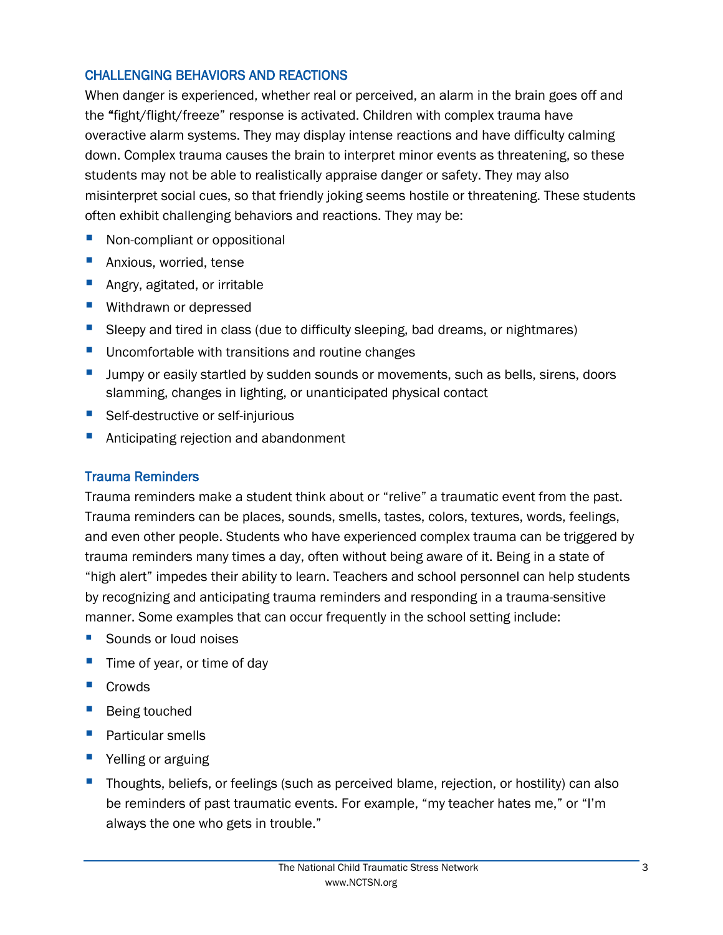### CHALLENGING BEHAVIORS AND REACTIONS

When danger is experienced, whether real or perceived, an alarm in the brain goes off and the "fight/flight/freeze" response is activated. Children with complex trauma have overactive alarm systems. They may display intense reactions and have difficulty calming down. Complex trauma causes the brain to interpret minor events as threatening, so these students may not be able to realistically appraise danger or safety. They may also misinterpret social cues, so that friendly joking seems hostile or threatening. These students often exhibit challenging behaviors and reactions. They may be:

- Non-compliant or oppositional
- **Anxious, worried, tense**
- **Angry, agitated, or irritable**
- **Withdrawn or depressed**
- Sleepy and tired in class (due to difficulty sleeping, bad dreams, or nightmares)
- **Uncomfortable with transitions and routine changes**
- **ULT Jumpy or easily startled by sudden sounds or movements, such as bells, sirens, doors** slamming, changes in lighting, or unanticipated physical contact
- Self-destructive or self-injurious
- **Anticipating rejection and abandonment**

#### Trauma Reminders

Trauma reminders make a student think about or "relive" a traumatic event from the past. Trauma reminders can be places, sounds, smells, tastes, colors, textures, words, feelings, and even other people. Students who have experienced complex trauma can be triggered by trauma reminders many times a day, often without being aware of it. Being in a state of "high alert" impedes their ability to learn. Teachers and school personnel can help students by recognizing and anticipating trauma reminders and responding in a trauma-sensitive manner. Some examples that can occur frequently in the school setting include:

- Sounds or loud noises
- $\blacksquare$  Time of year, or time of day
- Crowds
- Being touched
- **Particular smells**
- **P** Yelling or arguing
- Thoughts, beliefs, or feelings (such as perceived blame, rejection, or hostility) can also be reminders of past traumatic events. For example, "my teacher hates me," or "I'm always the one who gets in trouble."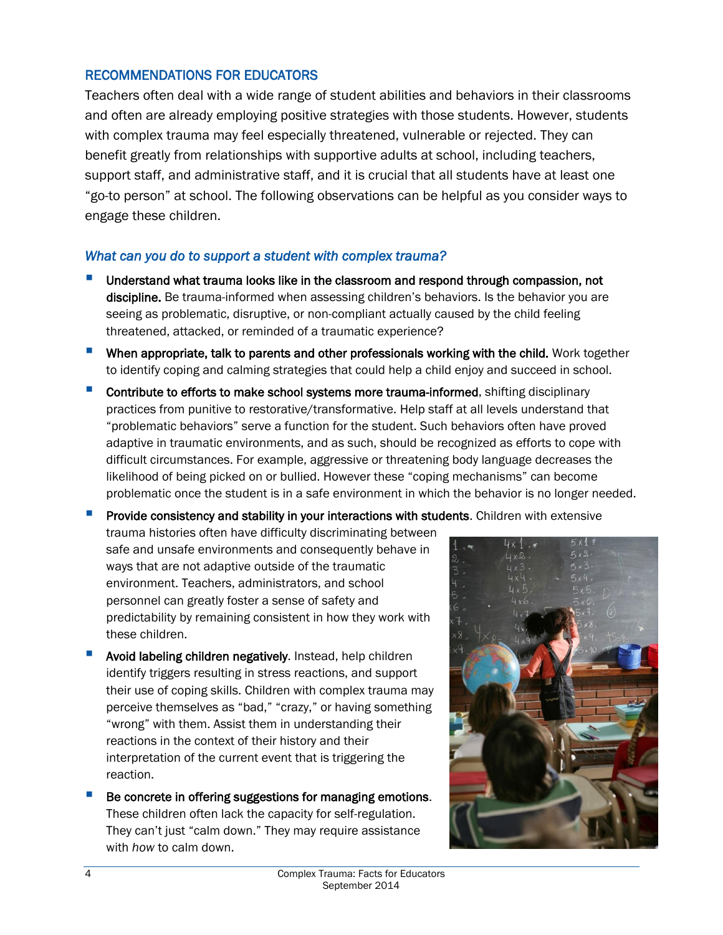#### RECOMMENDATIONS FOR EDUCATORS

Teachers often deal with a wide range of student abilities and behaviors in their classrooms and often are already employing positive strategies with those students. However, students with complex trauma may feel especially threatened, vulnerable or rejected. They can benefit greatly from relationships with supportive adults at school, including teachers, support staff, and administrative staff, and it is crucial that all students have at least one "go-to person" at school. The following observations can be helpful as you consider ways to engage these children.

### *What can you do to support a student with complex trauma?*

- Understand what trauma looks like in the classroom and respond through compassion, not discipline. Be trauma-informed when assessing children's behaviors. Is the behavior you are seeing as problematic, disruptive, or non-compliant actually caused by the child feeling threatened, attacked, or reminded of a traumatic experience?
- **When appropriate, talk to parents and other professionals working with the child.** Work together to identify coping and calming strategies that could help a child enjoy and succeed in school.
- Contribute to efforts to make school systems more trauma-informed, shifting disciplinary practices from punitive to restorative/transformative. Help staff at all levels understand that "problematic behaviors" serve a function for the student. Such behaviors often have proved adaptive in traumatic environments, and as such, should be recognized as efforts to cope with difficult circumstances. For example, aggressive or threatening body language decreases the likelihood of being picked on or bullied. However these "coping mechanisms" can become problematic once the student is in a safe environment in which the behavior is no longer needed.

Provide consistency and stability in your interactions with students. Children with extensive

trauma histories often have difficulty discriminating between safe and unsafe environments and consequently behave in ways that are not adaptive outside of the traumatic environment. Teachers, administrators, and school personnel can greatly foster a sense of safety and predictability by remaining consistent in how they work with these children.

- Avoid labeling children negatively. Instead, help children identify triggers resulting in stress reactions, and support their use of coping skills. Children with complex trauma may perceive themselves as "bad," "crazy," or having something "wrong" with them. Assist them in understanding their reactions in the context of their history and their interpretation of the current event that is triggering the reaction.
- Be concrete in offering suggestions for managing emotions. These children often lack the capacity for self-regulation. They can't just "calm down." They may require assistance with *how* to calm down.

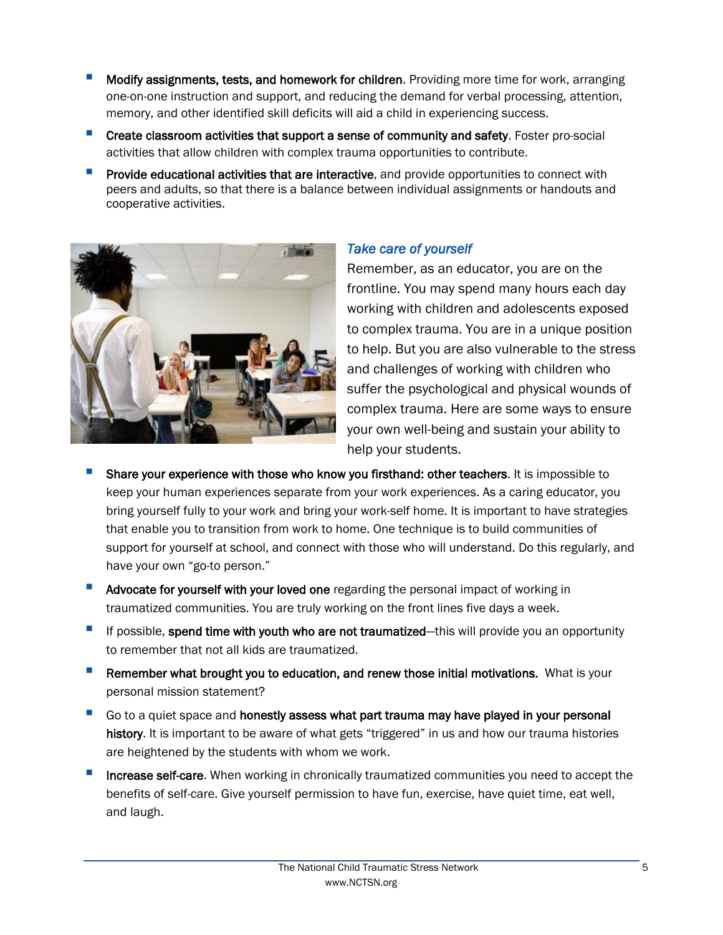- Modify assignments, tests, and homework for children. Providing more time for work, arranging one-on-one instruction and support, and reducing the demand for verbal processing, attention, memory, and other identified skill deficits will aid a child in experiencing success.
- **Create classroom activities that support a sense of community and safety.** Foster pro-social activities that allow children with complex trauma opportunities to contribute.
- Provide educational activities that are interactive, and provide opportunities to connect with peers and adults, so that there is a balance between individual assignments or handouts and cooperative activities.



## *Take care of yourself*

Remember, as an educator, you are on the frontline. You may spend many hours each day working with children and adolescents exposed to complex trauma. You are in a unique position to help. But you are also vulnerable to the stress and challenges of working with children who suffer the psychological and physical wounds of complex trauma. Here are some ways to ensure your own well-being and sustain your ability to help your students.

- Share your experience with those who know you firsthand: other teachers. It is impossible to keep your human experiences separate from your work experiences. As a caring educator, you bring yourself fully to your work and bring your work-self home. It is important to have strategies that enable you to transition from work to home. One technique is to build communities of support for yourself at school, and connect with those who will understand. Do this regularly, and have your own "go-to person."
- **Advocate for yourself with your loved one regarding the personal impact of working in** traumatized communities. You are truly working on the front lines five days a week.
- If possible, spend time with youth who are not traumatized—this will provide you an opportunity to remember that not all kids are traumatized.
- Remember what brought you to education, and renew those initial motivations. What is your personal mission statement?
- Go to a quiet space and honestly assess what part trauma may have played in your personal history. It is important to be aware of what gets "triggered" in us and how our trauma histories are heightened by the students with whom we work.
- Increase self-care. When working in chronically traumatized communities you need to accept the benefits of self-care. Give yourself permission to have fun, exercise, have quiet time, eat well, and laugh.